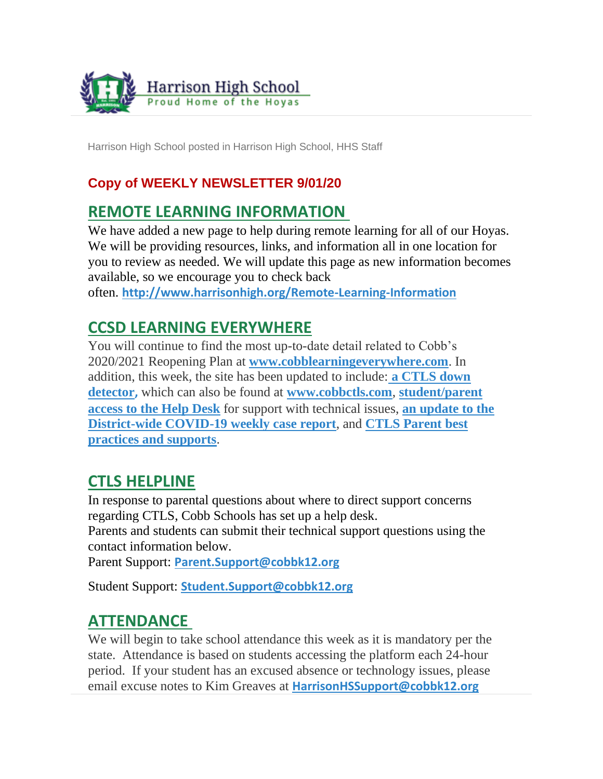

Harrison High School posted in Harrison High School, HHS Staff

## **Copy of WEEKLY NEWSLETTER 9/01/20**

## **REMOTE LEARNING INFORMATION**

We have added a new page to help during remote learning for all of our Hoyas. We will be providing resources, links, and information all in one location for you to review as needed. We will update this page as new information becomes available, so we encourage you to check back often. **<http://www.harrisonhigh.org/Remote-Learning-Information>**

## **CCSD LEARNING EVERYWHERE**

You will continue to find the most up-to-date detail related to Cobb's 2020/2021 Reopening Plan at **[www.cobblearningeverywhere.com](http://www.cobblearningeverywhere.com/)**. In addition, this week, the site has been updated to include: **[a CTLS down](https://status.educationincites.com/)  [detector](https://status.educationincites.com/),** which can also be found at **[www.cobbctls.com](http://www.cobbctls.com/)**, **[student/parent](http://cobbcast.cobbk12.org/?p=34393)  [access to the Help Desk](http://cobbcast.cobbk12.org/?p=34393)** for support with technical issues, **[an update to the](https://www.cobblearningeverywhere.com/cases/)  [District-wide COVID-19 weekly case report](https://www.cobblearningeverywhere.com/cases/)**, and **[CTLS Parent best](https://infogram.com/1pnjydee5re0jgiz30k1edpmmefmx95v99n?live)  [practices and supports](https://infogram.com/1pnjydee5re0jgiz30k1edpmmefmx95v99n?live)**.

# **CTLS HELPLINE**

In response to parental questions about where to direct support concerns regarding CTLS, Cobb Schools has set up a help desk. Parents and students can submit their technical support questions using the contact information below.

Parent Support: **[Parent.Support@cobbk12.org](mailto:CTLSParent.Support@cobbk12.org)**

Student Support: **[Student.Support@cobbk12.org](mailto:CTLSStudent.Support@cobbk12.org)**

# **ATTENDANCE**

We will begin to take school attendance this week as it is mandatory per the state. Attendance is based on students accessing the platform each 24-hour period. If your student has an excused absence or technology issues, please email excuse notes to Kim Greaves at **[HarrisonHSSupport@cobbk12.org](mailto:HarrisonHSSupport@cobbk12.org)**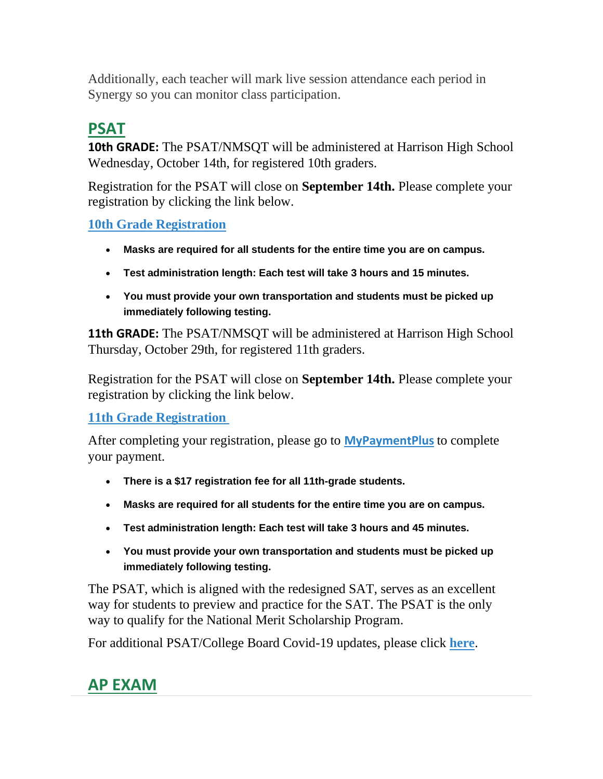Additionally, each teacher will mark live session attendance each period in Synergy so you can monitor class participation.

# **PSAT**

**10th GRADE:** The PSAT/NMSQT will be administered at Harrison High School Wednesday, October 14th, for registered 10th graders.

Registration for the PSAT will close on **September 14th.** Please complete your registration by clicking the link below.

**[10th Grade Registration](https://forms.office.com/Pages/ResponsePage.aspx?id=-x3OL5-ROEmquMR_D8kYLSByfG9XUQdCocm82Y4CoYhUREZJUVFPNzgxV1ZHUjFIUjJNN08wSDlJVS4u)**

- **Masks are required for all students for the entire time you are on campus.**
- **Test administration length: Each test will take 3 hours and 15 minutes.**
- **You must provide your own transportation and students must be picked up immediately following testing.**

**11th GRADE:** The PSAT/NMSQT will be administered at Harrison High School Thursday, October 29th, for registered 11th graders.

Registration for the PSAT will close on **September 14th.** Please complete your registration by clicking the link below.

**[11th Grade Registration](https://forms.office.com/Pages/ResponsePage.aspx?id=-x3OL5-ROEmquMR_D8kYLSByfG9XUQdCocm82Y4CoYhUNkE2QlFRMlBESFNIVEdMOFJKSk5VWlpBQy4u)**

After completing your registration, please go to **[MyPaymentPlus](https://www2.mypaymentsplus.com/welcome)** to complete your payment.

- **There is a \$17 registration fee for all 11th-grade students.**
- **Masks are required for all students for the entire time you are on campus.**
- **Test administration length: Each test will take 3 hours and 45 minutes.**
- **You must provide your own transportation and students must be picked up immediately following testing.**

The PSAT, which is aligned with the redesigned SAT, serves as an excellent way for students to preview and practice for the SAT. The PSAT is the only way to qualify for the National Merit Scholarship Program.

For additional PSAT/College Board Covid-19 updates, please click **[here](https://pages.collegeboard.org/sat-covid-19-updates)**.

# **AP EXAM**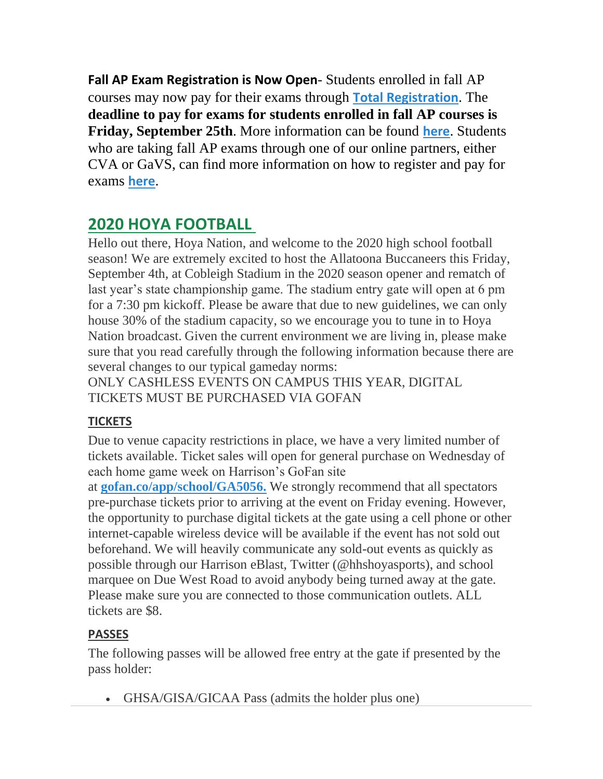**Fall AP Exam Registration is Now Open**- Students enrolled in fall AP courses may now pay for their exams through **[Total Registration](https://user.totalregistration.net/AP/111734)**. The **deadline to pay for exams for students enrolled in fall AP courses is Friday, September 25th**. More information can be found **[here](https://cobbk12org-my.sharepoint.com/:b:/g/personal/lucia_poole_cobbk12_org/ESWPSH5-flFMhiK6UrpHykgBIfElbuuwCLHlkIekWjaFng?e=BZdk2D)**. Students who are taking fall AP exams through one of our online partners, either CVA or GaVS, can find more information on how to register and pay for exams **[here](https://cobbk12org-my.sharepoint.com/:b:/g/personal/lucia_poole_cobbk12_org/ERocmsi22YBEgWMQVxm35UwBIlpEVyWiQX8kjfupGWgYXQ?e=QApaPd)**.

# **2020 HOYA FOOTBALL**

Hello out there, Hoya Nation, and welcome to the 2020 high school football season! We are extremely excited to host the Allatoona Buccaneers this Friday, September 4th, at Cobleigh Stadium in the 2020 season opener and rematch of last year's state championship game. The stadium entry gate will open at 6 pm for a 7:30 pm kickoff. Please be aware that due to new guidelines, we can only house 30% of the stadium capacity, so we encourage you to tune in to Hoya Nation broadcast. Given the current environment we are living in, please make sure that you read carefully through the following information because there are several changes to our typical gameday norms:

ONLY CASHLESS EVENTS ON CAMPUS THIS YEAR, DIGITAL TICKETS MUST BE PURCHASED VIA GOFAN

## **TICKETS**

Due to venue capacity restrictions in place, we have a very limited number of tickets available. Ticket sales will open for general purchase on Wednesday of each home game week on Harrison's GoFan site

at **[gofan.co/app/school/GA5056.](https://gofan.co/app/school/GA5056)** We strongly recommend that all spectators pre-purchase tickets prior to arriving at the event on Friday evening. However, the opportunity to purchase digital tickets at the gate using a cell phone or other internet-capable wireless device will be available if the event has not sold out beforehand. We will heavily communicate any sold-out events as quickly as possible through our Harrison eBlast, Twitter (@hhshoyasports), and school marquee on Due West Road to avoid anybody being turned away at the gate. Please make sure you are connected to those communication outlets. ALL tickets are \$8.

## **PASSES**

The following passes will be allowed free entry at the gate if presented by the pass holder:

• GHSA/GISA/GICAA Pass (admits the holder plus one)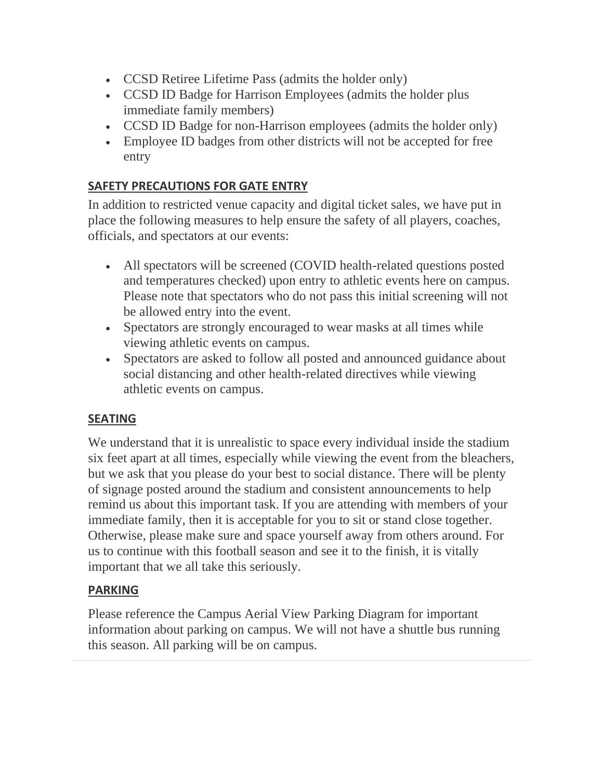- CCSD Retiree Lifetime Pass (admits the holder only)
- CCSD ID Badge for Harrison Employees (admits the holder plus immediate family members)
- CCSD ID Badge for non-Harrison employees (admits the holder only)
- Employee ID badges from other districts will not be accepted for free entry

### **SAFETY PRECAUTIONS FOR GATE ENTRY**

In addition to restricted venue capacity and digital ticket sales, we have put in place the following measures to help ensure the safety of all players, coaches, officials, and spectators at our events:

- All spectators will be screened (COVID health-related questions posted and temperatures checked) upon entry to athletic events here on campus. Please note that spectators who do not pass this initial screening will not be allowed entry into the event.
- Spectators are strongly encouraged to wear masks at all times while viewing athletic events on campus.
- Spectators are asked to follow all posted and announced guidance about social distancing and other health-related directives while viewing athletic events on campus.

### **SEATING**

We understand that it is unrealistic to space every individual inside the stadium six feet apart at all times, especially while viewing the event from the bleachers, but we ask that you please do your best to social distance. There will be plenty of signage posted around the stadium and consistent announcements to help remind us about this important task. If you are attending with members of your immediate family, then it is acceptable for you to sit or stand close together. Otherwise, please make sure and space yourself away from others around. For us to continue with this football season and see it to the finish, it is vitally important that we all take this seriously.

### **PARKING**

Please reference the Campus Aerial View Parking Diagram for important information about parking on campus. We will not have a shuttle bus running this season. All parking will be on campus.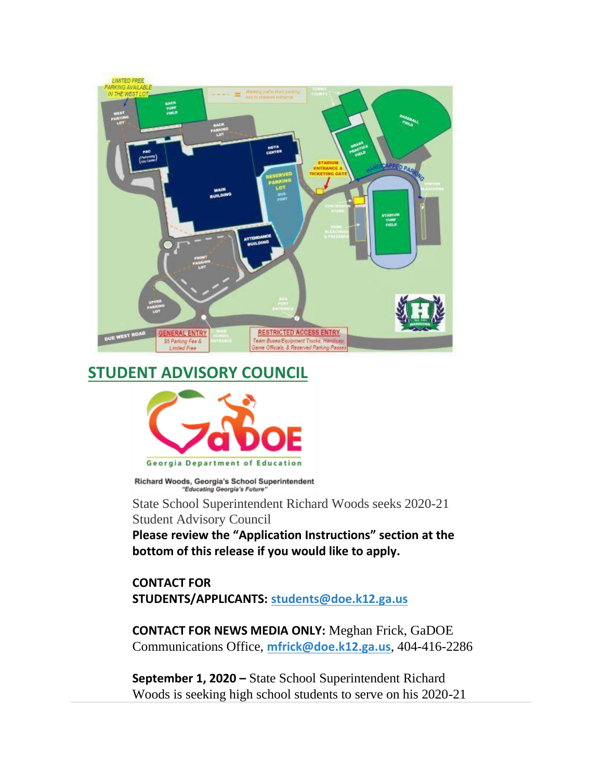

## **STUDENT ADVISORY COUNCIL**



Richard Woods, Georgia's School Superintendent "Educating Georgia's Future"

State School Superintendent Richard Woods seeks 2020-21 Student Advisory Council

**Please review the "Application Instructions" section at the bottom of this release if you would like to apply.**

**CONTACT FOR STUDENTS/APPLICANTS: [students@doe.k12.ga.us](mailto:students@doe.k12.ga.us)**

**CONTACT FOR NEWS MEDIA ONLY:** Meghan Frick, GaDOE Communications Office, **[mfrick@doe.k12.ga.us](mailto:mfrick@doe.k12.ga.us)**, 404-416-2286

**September 1, 2020 –** State School Superintendent Richard Woods is seeking high school students to serve on his 2020-21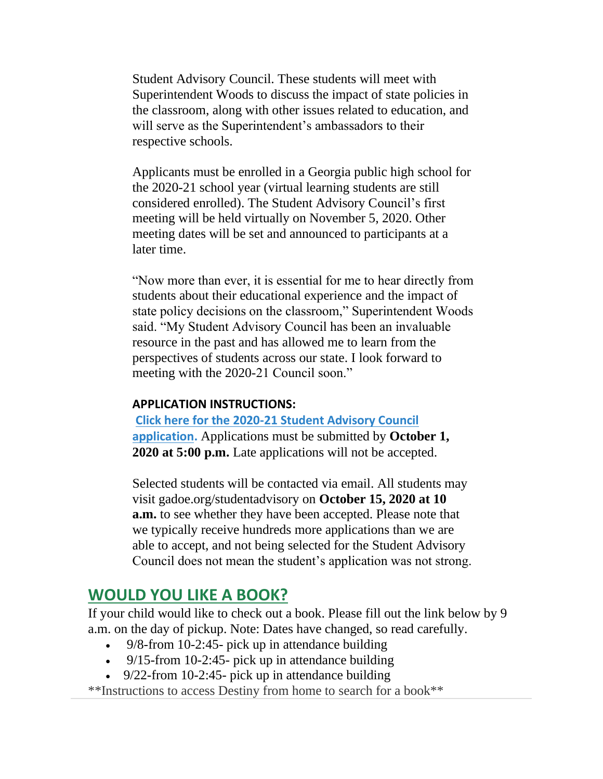Student Advisory Council. These students will meet with Superintendent Woods to discuss the impact of state policies in the classroom, along with other issues related to education, and will serve as the Superintendent's ambassadors to their respective schools.

Applicants must be enrolled in a Georgia public high school for the 2020-21 school year (virtual learning students are still considered enrolled). The Student Advisory Council's first meeting will be held virtually on November 5, 2020. Other meeting dates will be set and announced to participants at a later time.

"Now more than ever, it is essential for me to hear directly from students about their educational experience and the impact of state policy decisions on the classroom," Superintendent Woods said. "My Student Advisory Council has been an invaluable resource in the past and has allowed me to learn from the perspectives of students across our state. I look forward to meeting with the 2020-21 Council soon."

#### **APPLICATION INSTRUCTIONS:**

**[Click here for the 2020-21 Student Advisory Council](https://nam03.safelinks.protection.outlook.com/?url=https%3A%2F%2Fsable.madmimi.com%2Fc%2F56456%3Fid%3D28161190.5118.1.af5d4aad2f7e5bc6caf5dc08312c9095&data=02%7C01%7Cashlynn.campbell%40cobbk12.org%7C965cfdff98294374ae6f08d84e861b8d%7C2fce1dfb919f4938aab8c47f0fc9182d%7C0%7C0%7C637345685177978078&sdata=ZpEWD7LNcFqnFVn7sSvKmDxsvFrjzs73CEgsV%2FtPz5E%3D&reserved=0)  [application.](https://nam03.safelinks.protection.outlook.com/?url=https%3A%2F%2Fsable.madmimi.com%2Fc%2F56456%3Fid%3D28161190.5118.1.af5d4aad2f7e5bc6caf5dc08312c9095&data=02%7C01%7Cashlynn.campbell%40cobbk12.org%7C965cfdff98294374ae6f08d84e861b8d%7C2fce1dfb919f4938aab8c47f0fc9182d%7C0%7C0%7C637345685177978078&sdata=ZpEWD7LNcFqnFVn7sSvKmDxsvFrjzs73CEgsV%2FtPz5E%3D&reserved=0)** Applications must be submitted by **October 1, 2020 at 5:00 p.m.** Late applications will not be accepted.

Selected students will be contacted via email. All students may visit gadoe.org/studentadvisory on **October 15, 2020 at 10 a.m.** to see whether they have been accepted. Please note that we typically receive hundreds more applications than we are able to accept, and not being selected for the Student Advisory Council does not mean the student's application was not strong.

## **WOULD YOU LIKE A BOOK?**

If your child would like to check out a book. Please fill out the link below by 9 a.m. on the day of pickup. Note: Dates have changed, so read carefully.

- 9/8-from 10-2:45- pick up in attendance building
- 9/15-from 10-2:45- pick up in attendance building
- 9/22-from 10-2:45- pick up in attendance building
- \*\*Instructions to access Destiny from home to search for a book\*\*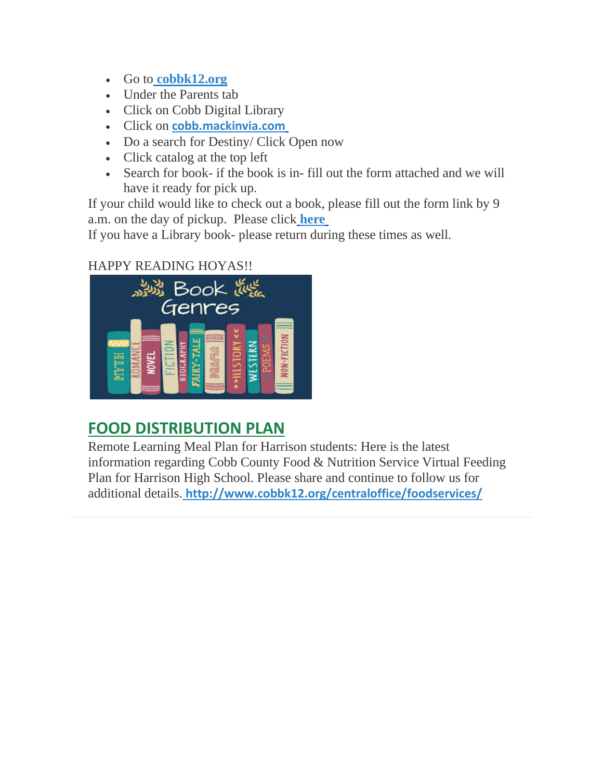- Go to **[cobbk12.org](http://cobbk12.org/)**
- Under the Parents tab
- Click on Cobb Digital Library
- Click on **[cobb.mackinvia.com](https://cobb.mackinvia.com/groups?groupName=all)**
- Do a search for Destiny/ Click Open now
- Click catalog at the top left
- Search for book- if the book is in- fill out the form attached and we will have it ready for pick up.

If your child would like to check out a book, please fill out the form link by 9 a.m. on the day of pickup. Please click **[here](https://forms.office.com/Pages/ResponsePage.aspx?id=-x3OL5-ROEmquMR_D8kYLZ8d62ibOd5NpTUkj3zhIkhUNUhOVFROVDRJT0FTVVlDVFhRSDhHODdTUS4u)**

If you have a Library book- please return during these times as well.

## HAPPY READING HOYAS!!



# **FOOD DISTRIBUTION PLAN**

Remote Learning Meal Plan for Harrison students: Here is the latest information regarding Cobb County Food & Nutrition Service Virtual Feeding Plan for Harrison High School. Please share and continue to follow us for additional details. **[http://www.cobbk12.org/centraloffice/foodservices/](http://info.cobbk12.org/centraloffice/foodservices/)**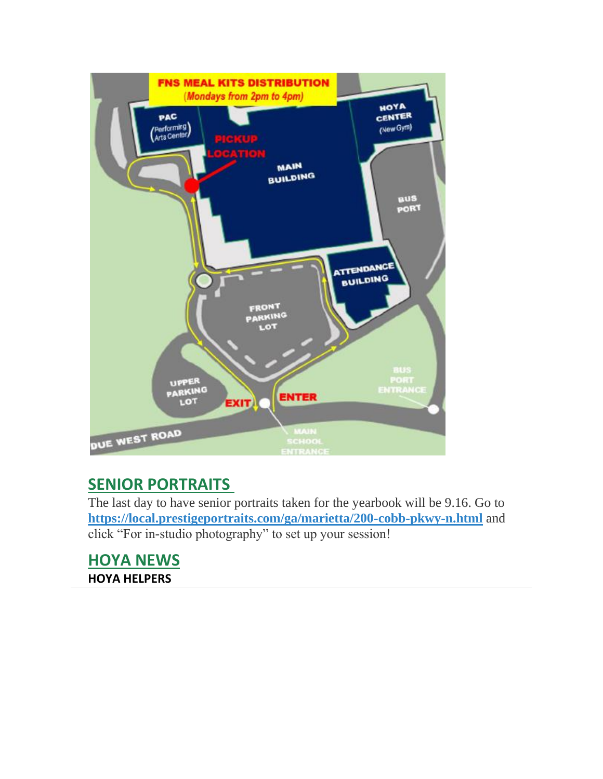

# **SENIOR PORTRAITS**

The last day to have senior portraits taken for the yearbook will be 9.16. Go to **[https://local.prestigeportraits.com/ga/marietta/200-cobb-pkwy-n.html](https://nam03.safelinks.protection.outlook.com/?url=https%3A%2F%2Flocal.prestigeportraits.com%2Fga%2Fmarietta%2F200-cobb-pkwy-n.html&data=02%7C01%7Cmelody.madray%40cobbk12.org%7Cf867f1ffe2974243e13308d8493a4652%7C2fce1dfb919f4938aab8c47f0fc9182d%7C0%7C0%7C637339861919609743&sdata=DPfRENf3QIICR5bofRsUToEn79%2FHTgKpNfVp803Xw5U%3D&reserved=0)** and click "For in-studio photography" to set up your session!

**HOYA NEWS HOYA HELPERS**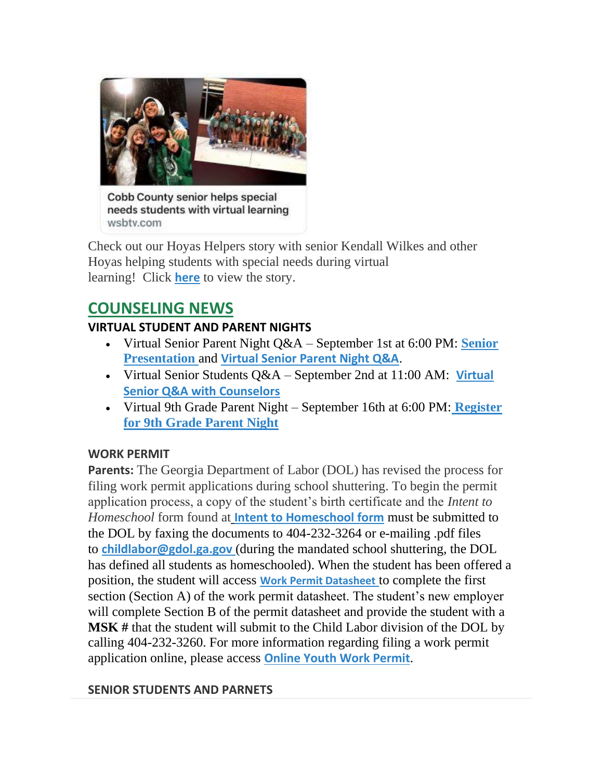

Cobb County senior helps special needs students with virtual learning wsbtv.com

Check out our Hoyas Helpers story with senior Kendall Wilkes and other Hoyas helping students with special needs during virtual learning! Click **[here](https://nam03.safelinks.protection.outlook.com/?url=https%3A%2F%2Fwww.wsbtv.com%2Fnews%2Fcobb-county-senior-helps-special-needs-students-with-virtual-learning%2FBG6IXG65PJD2JBON5GT6UASSLQ%2F&data=02%7C01%7Cmandy.sitten%40cobbk12.org%7Ca064bb733cb34e2c606c08d84e913c08%7C2fce1dfb919f4938aab8c47f0fc9182d%7C0%7C0%7C637345732975948525&sdata=xz6%2FRsUcfCn61bnXeylz1v2gh5HRPdGr4KJHnB%2BIii8%3D&reserved=0)** to view the story.

## **COUNSELING NEWS**

## **VIRTUAL STUDENT AND PARENT NIGHTS**

- Virtual Senior Parent Night Q&A September 1st at 6:00 PM: **[Senior](https://drive.google.com/file/d/11dHkjXanBffshfRTM1P7Jy8BG3uxtMsr/view)  [Presentation](https://drive.google.com/file/d/11dHkjXanBffshfRTM1P7Jy8BG3uxtMsr/view)** and **[Virtual Senior Parent Night Q&A](https://cobbk12-org.zoom.us/j/99225860970?pwd=RzRscmpqc3ZLUnBsVXRaUkVUNjVmQT09)**.
- Virtual Senior Students Q&A September 2nd at 11:00 AM: **[Virtual](https://cobbk12-org.zoom.us/j/95437769876?pwd=THF3Rm1vK0xBdGFtSW9tRmc3M090Zz09)  [Senior Q&A with Counselors](https://cobbk12-org.zoom.us/j/95437769876?pwd=THF3Rm1vK0xBdGFtSW9tRmc3M090Zz09)**
- Virtual 9th Grade Parent Night September 16th at 6:00 PM[:](https://forms.office.com/Pages/ResponsePage.aspx?id=-x3OL5-ROEmquMR_D8kYLWW85uR8aLBInItPvCDivwpUQk45TFowVTBIM0dIMzZYMDAyWTZHV1NCTS4u) **[Register](https://forms.office.com/Pages/ResponsePage.aspx?id=-x3OL5-ROEmquMR_D8kYLWW85uR8aLBInItPvCDivwpUQk45TFowVTBIM0dIMzZYMDAyWTZHV1NCTS4u)  [for 9th Grade Parent Night](https://forms.office.com/Pages/ResponsePage.aspx?id=-x3OL5-ROEmquMR_D8kYLWW85uR8aLBInItPvCDivwpUQk45TFowVTBIM0dIMzZYMDAyWTZHV1NCTS4u)**

## **WORK PERMIT**

**Parents:** The Georgia Department of Labor (DOL) has revised the process for filing work permit applications during school shuttering. To begin the permit application process, a copy of the student's birth certificate and the *Intent to Homeschool* form found at **[Intent to Homeschool form](https://nam03.safelinks.protection.outlook.com/?url=http%3A%2F%2Fdol.georgia.gov%2Fdocument%2Fchild-labor%2Fchild-labor-home-schooled-form%2Fdownload&data=02%7C01%7CAudra.Skalski%40cobbk12.org%7C856357e8e49d4d50041d08d80cb84415%7C2fce1dfb919f4938aab8c47f0fc9182d%7C0%7C1%7C637273332845584845&sdata=nz0qNTyOHRvVOObVOWEuX91PDHerC5foohkyqq%2FEIF4%3D&reserved=0)** must be submitted to the DOL by faxing the documents to 404-232-3264 or e-mailing .pdf files to **[childlabor@gdol.ga.gov](mailto:childlabor@gdol.ga.gov)** (during the mandated school shuttering, the DOL has defined all students as homeschooled). When the student has been offered a position, the student will access **[Work Permit Datasheet](https://nam03.safelinks.protection.outlook.com/?url=https%3A%2F%2Fwww.dol.state.ga.us%2FWS4-MW5%2Fcics.jsp%3FTRANSID%3DWP17%26FRMNAME%3DWP17&data=02%7C01%7CAudra.Skalski%40cobbk12.org%7C856357e8e49d4d50041d08d80cb84415%7C2fce1dfb919f4938aab8c47f0fc9182d%7C0%7C1%7C637273332845584845&sdata=sYK4oD2g8pZe2iY4gQXjSHJq%2FGMstnRRcs7%2F3kUZoWc%3D&reserved=0)** to complete the first section (Section A) of the work permit datasheet. The student's new employer will complete Section B of the permit datasheet and provide the student with a **MSK #** that the student will submit to the Child Labor division of the DOL by calling 404-232-3260. For more information regarding filing a work permit application online, please access **[Online Youth Work Permit](https://nam03.safelinks.protection.outlook.com/?url=https%3A%2F%2Fdol.georgia.gov%2Fget-youth-work-permit-online&data=02%7C01%7CAudra.Skalski%40cobbk12.org%7C856357e8e49d4d50041d08d80cb84415%7C2fce1dfb919f4938aab8c47f0fc9182d%7C0%7C1%7C637273332845594801&sdata=id2mW9JRfRDtP2%2B7yFIssRr%2BQlkCOKLK7sd5Zw2r750%3D&reserved=0)**.

### **SENIOR STUDENTS AND PARNETS**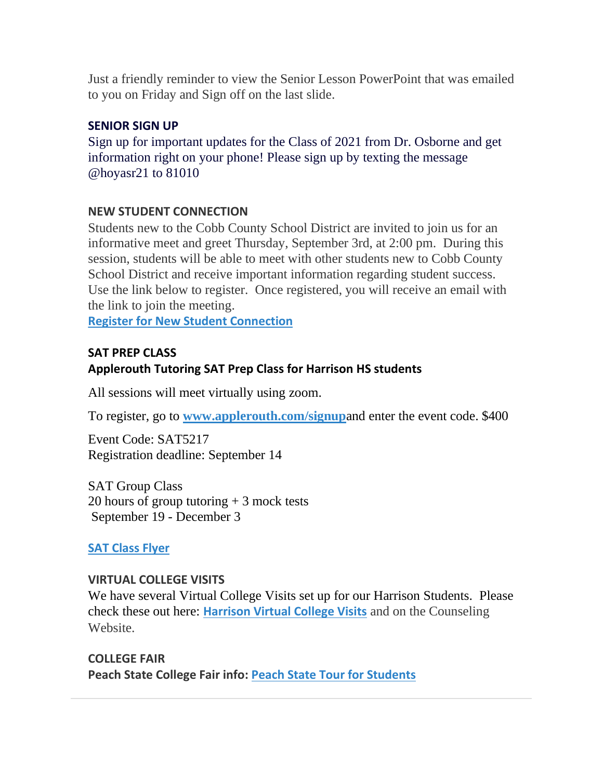Just a friendly reminder to view the Senior Lesson PowerPoint that was emailed to you on Friday and Sign off on the last slide.

### **SENIOR SIGN UP**

Sign up for important updates for the Class of 2021 from Dr. Osborne and get information right on your phone! Please sign up by texting the message @hoyasr21 to 81010

### **NEW STUDENT CONNECTION**

Students new to the Cobb County School District are invited to join us for an informative meet and greet Thursday, September 3rd, at 2:00 pm. During this session, students will be able to meet with other students new to Cobb County School District and receive important information regarding student success. Use the link below to register. Once registered, you will receive an email with the link to join the meeting.

**[Register for New Student Connection](https://forms.office.com/Pages/ResponsePage.aspx?id=-x3OL5-ROEmquMR_D8kYLaUD1K_Pl6ZOsbbAKVJkKlFUMlBZNFE5WE9VWDFSRTVOWTNBODlKUjIxUS4u)**

### **SAT PREP CLASS**

## **Applerouth Tutoring SAT Prep Class for Harrison HS students**

All sessions will meet virtually using zoom.

To register, go to **[www.applerouth.com/signup](http://www.applerouth.com/signup)**and enter the event code. \$400

Event Code: SAT5217 Registration deadline: September 14

SAT Group Class 20 hours of group tutoring + 3 mock tests September 19 - December 3

### **[SAT Class Flyer](https://drive.google.com/file/d/1t84W1DyubErW80ytVJm_el-ndYytibq1/view?usp=sharing)**

### **VIRTUAL COLLEGE VISITS**

We have several Virtual College Visits set up for our Harrison Students. Please check these out here: **[Harrison Virtual College Visits](https://cobbk12org-my.sharepoint.com/:x:/g/personal/leanna_kor_cobbk12_org/EWP6BGgLdCBOvhv5RDRuCVwBqHA2jXXmnAUqr7hXgxEU7w?rtime=t-E10MJN2Eg)** and on the Counseling Website.

**COLLEGE FAIR Peach State College Fair info: [Peach State Tour for Students](http://www.peachstatetour.org/students.html)**